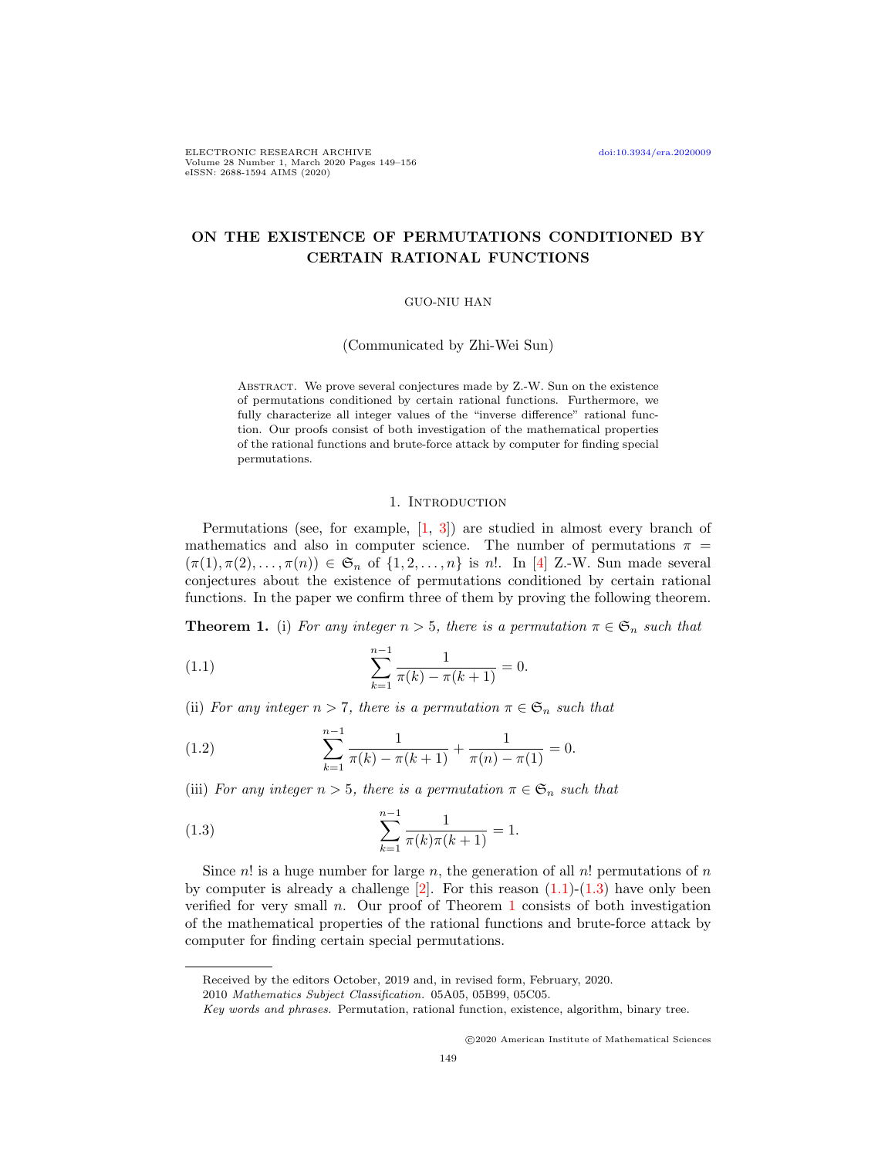# ON THE EXISTENCE OF PERMUTATIONS CONDITIONED BY CERTAIN RATIONAL FUNCTIONS

### GUO-NIU HAN

(Communicated by Zhi-Wei Sun)

ABSTRACT. We prove several conjectures made by Z.-W. Sun on the existence of permutations conditioned by certain rational functions. Furthermore, we fully characterize all integer values of the "inverse difference" rational function. Our proofs consist of both investigation of the mathematical properties of the rational functions and brute-force attack by computer for finding special permutations.

#### <span id="page-0-0"></span>1. INTRODUCTION

Permutations (see, for example,  $\begin{bmatrix} 1, 3 \end{bmatrix}$ ) are studied in almost every branch of mathematics and also in computer science. The number of permutations  $\pi$  =  $(\pi(1), \pi(2), \ldots, \pi(n)) \in \mathfrak{S}_n$  of  $\{1, 2, \ldots, n\}$  is n!. In [\[4\]](#page-7-2) Z.-W. Sun made several conjectures about the existence of permutations conditioned by certain rational functions. In the paper we confirm three of them by proving the following theorem.

<span id="page-0-2"></span>**Theorem 1.** (i) For any integer  $n > 5$ , there is a permutation  $\pi \in \mathfrak{S}_n$  such that

(1.1) 
$$
\sum_{k=1}^{n-1} \frac{1}{\pi(k) - \pi(k+1)} = 0.
$$

(ii) For any integer  $n > 7$ , there is a permutation  $\pi \in \mathfrak{S}_n$  such that

<span id="page-0-3"></span>(1.2) 
$$
\sum_{k=1}^{n-1} \frac{1}{\pi(k) - \pi(k+1)} + \frac{1}{\pi(n) - \pi(1)} = 0.
$$

(iii) For any integer  $n > 5$ , there is a permutation  $\pi \in \mathfrak{S}_n$  such that

<span id="page-0-1"></span>(1.3) 
$$
\sum_{k=1}^{n-1} \frac{1}{\pi(k)\pi(k+1)} = 1.
$$

Since n! is a huge number for large n, the generation of all  $n!$  permutations of n by computer is already a challenge  $[2]$ . For this reason  $(1.1)-(1.3)$  $(1.1)-(1.3)$  $(1.1)-(1.3)$  have only been verified for very small  $n$ . Our proof of Theorem [1](#page-0-2) consists of both investigation of the mathematical properties of the rational functions and brute-force attack by computer for finding certain special permutations.

c 2020 American Institute of Mathematical Sciences

Received by the editors October, 2019 and, in revised form, February, 2020.

<sup>2010</sup> Mathematics Subject Classification. 05A05, 05B99, 05C05.

Key words and phrases. Permutation, rational function, existence, algorithm, binary tree.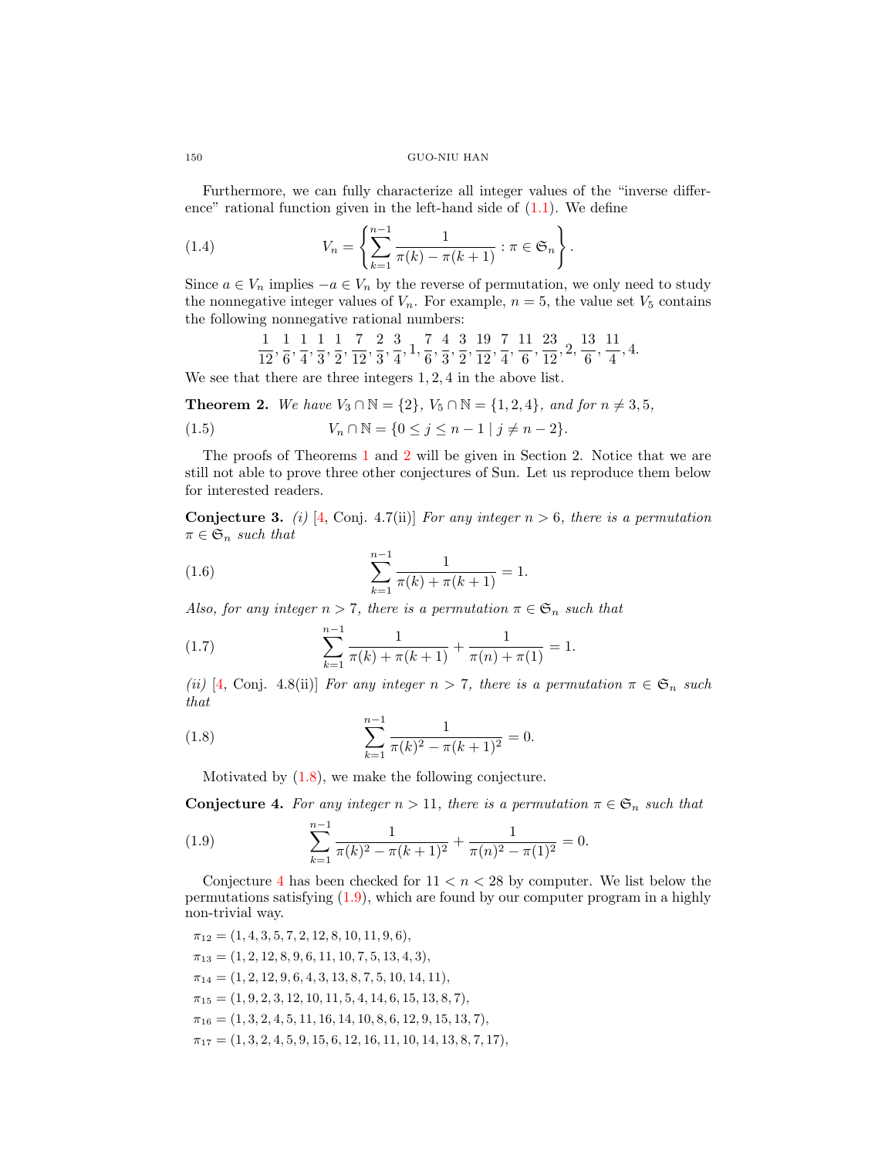# 150 GUO-NIU HAN

Furthermore, we can fully characterize all integer values of the "inverse difference" rational function given in the left-hand side of  $(1.1)$ . We define

(1.4) 
$$
V_n = \left\{ \sum_{k=1}^{n-1} \frac{1}{\pi(k) - \pi(k+1)} : \pi \in \mathfrak{S}_n \right\}.
$$

Since  $a \in V_n$  implies  $-a \in V_n$  by the reverse of permutation, we only need to study the nonnegative integer values of  $V_n$ . For example,  $n = 5$ , the value set  $V_5$  contains the following nonnegative rational numbers:

$$
\frac{1}{12}, \frac{1}{6}, \frac{1}{4}, \frac{1}{3}, \frac{1}{2}, \frac{7}{12}, \frac{2}{3}, \frac{3}{4}, 1, \frac{7}{6}, \frac{4}{3}, \frac{3}{2}, \frac{19}{12}, \frac{7}{4}, \frac{11}{6}, \frac{23}{12}, 2, \frac{13}{6}, \frac{11}{4}, 4.
$$

We see that there are three integers 1, 2, 4 in the above list.

<span id="page-1-0"></span>**Theorem 2.** We have  $V_3 \cap \mathbb{N} = \{2\}$ ,  $V_5 \cap \mathbb{N} = \{1, 2, 4\}$ , and for  $n ≠ 3, 5$ ,

(1.5) 
$$
V_n \cap \mathbb{N} = \{0 \le j \le n - 1 \mid j \ne n - 2\}.
$$

The proofs of Theorems [1](#page-0-2) and [2](#page-1-0) will be given in Section 2. Notice that we are still not able to prove three other conjectures of Sun. Let us reproduce them below for interested readers.

**Conjecture 3.** (i) [\[4,](#page-7-2) Conj. 4.7(ii)] For any integer  $n > 6$ , there is a permutation  $\pi \in \mathfrak{S}_n$  such that

(1.6) 
$$
\sum_{k=1}^{n-1} \frac{1}{\pi(k) + \pi(k+1)} = 1.
$$

Also, for any integer  $n > 7$ , there is a permutation  $\pi \in \mathfrak{S}_n$  such that

(1.7) 
$$
\sum_{k=1}^{n-1} \frac{1}{\pi(k) + \pi(k+1)} + \frac{1}{\pi(n) + \pi(1)} = 1.
$$

(ii) [\[4,](#page-7-2) Conj. 4.8(ii)] For any integer  $n > 7$ , there is a permutation  $\pi \in \mathfrak{S}_n$  such that

(1.8) 
$$
\sum_{k=1}^{n-1} \frac{1}{\pi(k)^2 - \pi(k+1)^2} = 0.
$$

<span id="page-1-1"></span>Motivated by [\(1.8\)](#page-1-1), we make the following conjecture.

<span id="page-1-2"></span>**Conjecture 4.** For any integer  $n > 11$ , there is a permutation  $\pi \in \mathfrak{S}_n$  such that

<span id="page-1-3"></span>(1.9) 
$$
\sum_{k=1}^{n-1} \frac{1}{\pi(k)^2 - \pi(k+1)^2} + \frac{1}{\pi(n)^2 - \pi(1)^2} = 0.
$$

Conjecture [4](#page-1-2) has been checked for  $11 < n < 28$  by computer. We list below the permutations satisfying [\(1.9\)](#page-1-3), which are found by our computer program in a highly non-trivial way.

$$
\pi_{12} = (1, 4, 3, 5, 7, 2, 12, 8, 10, 11, 9, 6),
$$
  
\n
$$
\pi_{13} = (1, 2, 12, 8, 9, 6, 11, 10, 7, 5, 13, 4, 3),
$$
  
\n
$$
\pi_{14} = (1, 2, 12, 9, 6, 4, 3, 13, 8, 7, 5, 10, 14, 11),
$$
  
\n
$$
\pi_{15} = (1, 9, 2, 3, 12, 10, 11, 5, 4, 14, 6, 15, 13, 8, 7),
$$
  
\n
$$
\pi_{16} = (1, 3, 2, 4, 5, 11, 16, 14, 10, 8, 6, 12, 9, 15, 13, 7),
$$
  
\n
$$
\pi_{17} = (1, 3, 2, 4, 5, 9, 15, 6, 12, 16, 11, 10, 14, 13, 8, 7, 17),
$$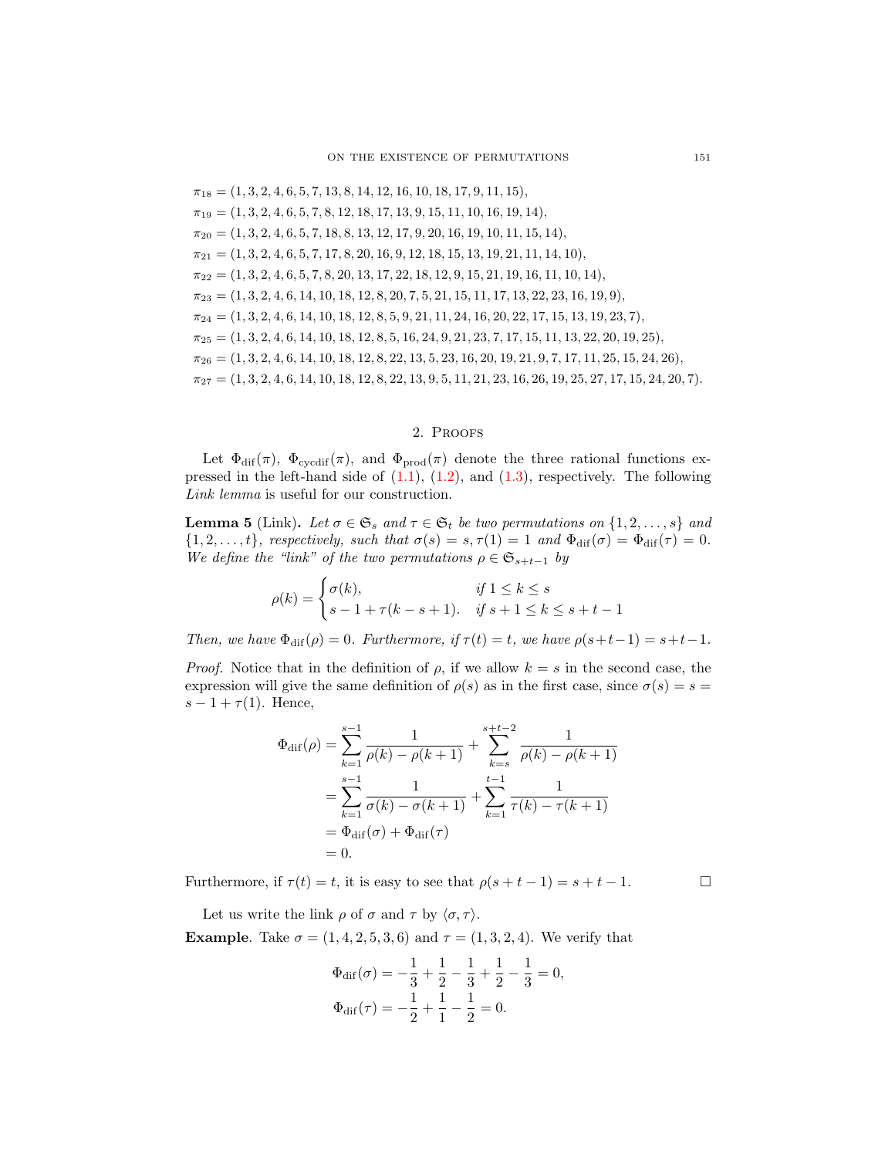$\pi_{18} = (1, 3, 2, 4, 6, 5, 7, 13, 8, 14, 12, 16, 10, 18, 17, 9, 11, 15),$  $\pi_{19} = (1, 3, 2, 4, 6, 5, 7, 8, 12, 18, 17, 13, 9, 15, 11, 10, 16, 19, 14),$  $\pi_{20} = (1, 3, 2, 4, 6, 5, 7, 18, 8, 13, 12, 17, 9, 20, 16, 19, 10, 11, 15, 14),$  $\pi_{21} = (1, 3, 2, 4, 6, 5, 7, 17, 8, 20, 16, 9, 12, 18, 15, 13, 19, 21, 11, 14, 10),$  $\pi_{22} = (1, 3, 2, 4, 6, 5, 7, 8, 20, 13, 17, 22, 18, 12, 9, 15, 21, 19, 16, 11, 10, 14),$  $\pi_{23} = (1, 3, 2, 4, 6, 14, 10, 18, 12, 8, 20, 7, 5, 21, 15, 11, 17, 13, 22, 23, 16, 19, 9),$  $\pi_{24} = (1, 3, 2, 4, 6, 14, 10, 18, 12, 8, 5, 9, 21, 11, 24, 16, 20, 22, 17, 15, 13, 19, 23, 7),$  $\pi_{25} = (1, 3, 2, 4, 6, 14, 10, 18, 12, 8, 5, 16, 24, 9, 21, 23, 7, 17, 15, 11, 13, 22, 20, 19, 25),$  $\pi_{26} = (1, 3, 2, 4, 6, 14, 10, 18, 12, 8, 22, 13, 5, 23, 16, 20, 19, 21, 9, 7, 17, 11, 25, 15, 24, 26),$  $\pi_{27} = (1, 3, 2, 4, 6, 14, 10, 18, 12, 8, 22, 13, 9, 5, 11, 21, 23, 16, 26, 19, 25, 27, 17, 15, 24, 20, 7).$ 

# 2. Proofs

Let  $\Phi_{\text{dif}}(\pi)$ ,  $\Phi_{\text{cycdif}}(\pi)$ , and  $\Phi_{\text{prod}}(\pi)$  denote the three rational functions expressed in the left-hand side of  $(1.1)$ ,  $(1.2)$ , and  $(1.3)$ , respectively. The following Link lemma is useful for our construction.

**Lemma 5** (Link). Let  $\sigma \in \mathfrak{S}_s$  and  $\tau \in \mathfrak{S}_t$  be two permutations on  $\{1, 2, \ldots, s\}$  and  $\{1, 2, \ldots, t\}$ , respectively, such that  $\sigma(s) = s, \tau(1) = 1$  and  $\Phi_{\text{dif}}(\sigma) = \Phi_{\text{dif}}(\tau) = 0$ . We define the "link" of the two permutations  $\rho \in \mathfrak{S}_{s+t-1}$  by

$$
\rho(k) = \begin{cases} \sigma(k), & \text{if } 1 \le k \le s \\ s - 1 + \tau(k - s + 1). & \text{if } s + 1 \le k \le s + t - 1 \end{cases}
$$

Then, we have  $\Phi_{\text{dif}}(\rho) = 0$ . Furthermore, if  $\tau(t) = t$ , we have  $\rho(s+t-1) = s+t-1$ .

*Proof.* Notice that in the definition of  $\rho$ , if we allow  $k = s$  in the second case, the expression will give the same definition of  $\rho(s)$  as in the first case, since  $\sigma(s) = s =$  $s-1+\tau(1)$ . Hence,

$$
\Phi_{\text{dif}}(\rho) = \sum_{k=1}^{s-1} \frac{1}{\rho(k) - \rho(k+1)} + \sum_{k=s}^{s+t-2} \frac{1}{\rho(k) - \rho(k+1)}
$$
  
= 
$$
\sum_{k=1}^{s-1} \frac{1}{\sigma(k) - \sigma(k+1)} + \sum_{k=1}^{t-1} \frac{1}{\tau(k) - \tau(k+1)}
$$
  
= 
$$
\Phi_{\text{dif}}(\sigma) + \Phi_{\text{dif}}(\tau)
$$
  
= 0.

Furthermore, if  $\tau(t) = t$ , it is easy to see that  $\rho(s+t-1) = s+t-1$ .

Let us write the link  $\rho$  of  $\sigma$  and  $\tau$  by  $\langle \sigma, \tau \rangle$ .

**Example.** Take  $\sigma = (1, 4, 2, 5, 3, 6)$  and  $\tau = (1, 3, 2, 4)$ . We verify that

$$
\Phi_{\text{dif}}(\sigma) = -\frac{1}{3} + \frac{1}{2} - \frac{1}{3} + \frac{1}{2} - \frac{1}{3} = 0,
$$
  

$$
\Phi_{\text{dif}}(\tau) = -\frac{1}{2} + \frac{1}{1} - \frac{1}{2} = 0.
$$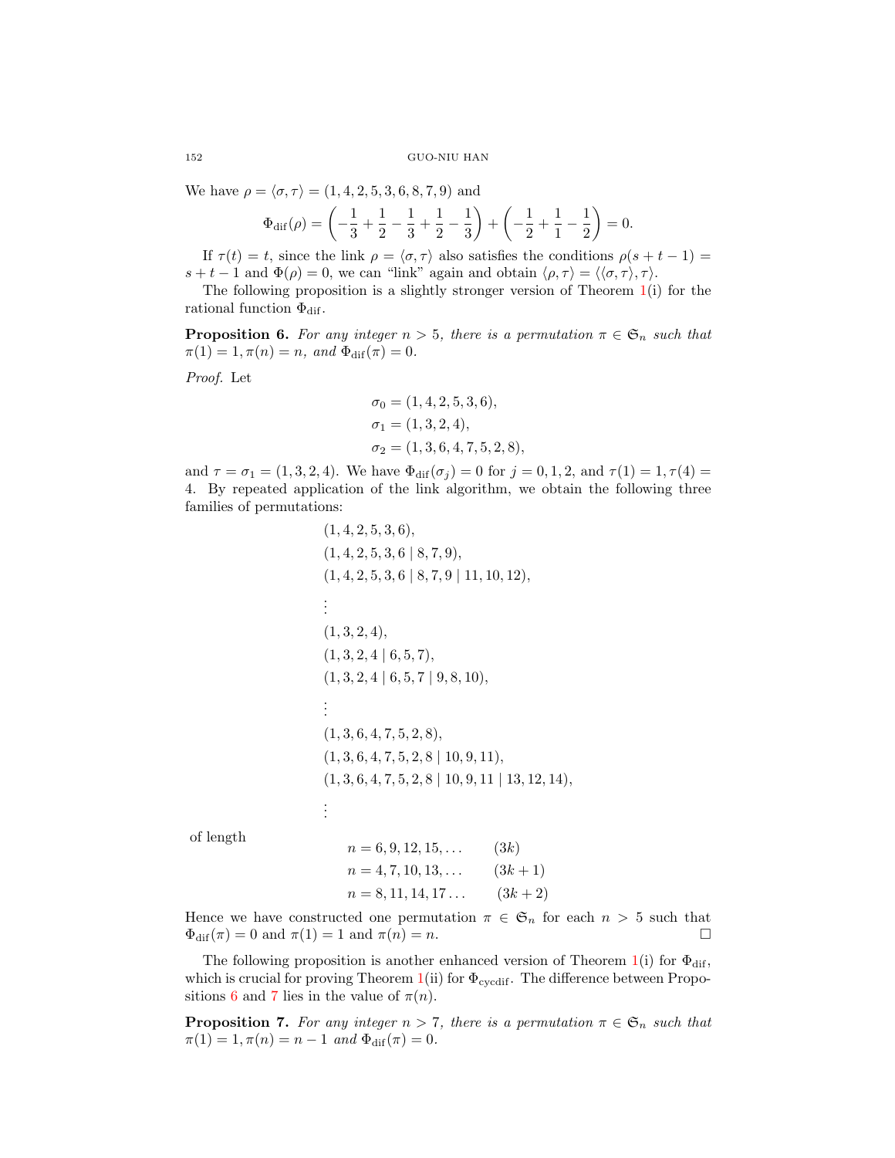We have  $\rho = \langle \sigma, \tau \rangle = (1, 4, 2, 5, 3, 6, 8, 7, 9)$  and

$$
\Phi_{\text{dif}}(\rho) = \left(-\frac{1}{3} + \frac{1}{2} - \frac{1}{3} + \frac{1}{2} - \frac{1}{3}\right) + \left(-\frac{1}{2} + \frac{1}{1} - \frac{1}{2}\right) = 0.
$$

If  $\tau(t) = t$ , since the link  $\rho = \langle \sigma, \tau \rangle$  also satisfies the conditions  $\rho(s + t - 1) =$  $s + t - 1$  and  $\Phi(\rho) = 0$ , we can "link" again and obtain  $\langle \rho, \tau \rangle = \langle \langle \sigma, \tau \rangle, \tau \rangle$ .

The following proposition is a slightly stronger version of Theorem [1\(](#page-0-2)i) for the rational function  $\Phi_{\text{dif}}$ .

<span id="page-3-0"></span>**Proposition 6.** For any integer  $n > 5$ , there is a permutation  $\pi \in \mathfrak{S}_n$  such that  $\pi(1) = 1, \pi(n) = n$ , and  $\Phi_{\text{dif}}(\pi) = 0$ .

Proof. Let

$$
\sigma_0 = (1, 4, 2, 5, 3, 6),
$$
  
\n
$$
\sigma_1 = (1, 3, 2, 4),
$$
  
\n
$$
\sigma_2 = (1, 3, 6, 4, 7, 5, 2, 8),
$$

and  $\tau = \sigma_1 = (1, 3, 2, 4)$ . We have  $\Phi_{\text{dif}}(\sigma_i) = 0$  for  $j = 0, 1, 2$ , and  $\tau(1) = 1, \tau(4) = 1$ . 4. By repeated application of the link algorithm, we obtain the following three families of permutations:

```
(1, 4, 2, 5, 3, 6),(1, 4, 2, 5, 3, 6 \mid 8, 7, 9),(1, 4, 2, 5, 3, 6 \mid 8, 7, 9 \mid 11, 10, 12),.
.
.
(1, 3, 2, 4),(1, 3, 2, 4 \mid 6, 5, 7),(1, 3, 2, 4 \mid 6, 5, 7 \mid 9, 8, 10),.
.
.
(1, 3, 6, 4, 7, 5, 2, 8),(1, 3, 6, 4, 7, 5, 2, 8 | 10, 9, 11),(1, 3, 6, 4, 7, 5, 2, 8 | 10, 9, 11 | 13, 12, 14),.
.
.
```
of length

$$
n = 6, 9, 12, 15, ...
$$
  
\n
$$
n = 4, 7, 10, 13, ...
$$
  
\n
$$
n = 8, 11, 14, 17 ...
$$
  
\n
$$
(3k + 1)
$$
  
\n
$$
(3k + 2)
$$

Hence we have constructed one permutation  $\pi \in \mathfrak{S}_n$  for each  $n > 5$  such that  $\Phi_{\text{dif}}(\pi) = 0 \text{ and } \pi(1) = 1 \text{ and } \pi(n) = n.$ 

The following proposition is another enhanced version of Theorem [1\(](#page-0-2)i) for  $\Phi_{\text{dif}}$ , which is crucial for proving Theorem [1\(](#page-0-2)ii) for  $\Phi_{\text{cycdif}}$ . The difference between Propo-sitions [6](#page-3-0) and [7](#page-3-1) lies in the value of  $\pi(n)$ .

<span id="page-3-1"></span>**Proposition 7.** For any integer  $n > 7$ , there is a permutation  $\pi \in \mathfrak{S}_n$  such that  $\pi(1) = 1, \pi(n) = n - 1$  and  $\Phi_{\text{dif}}(\pi) = 0$ .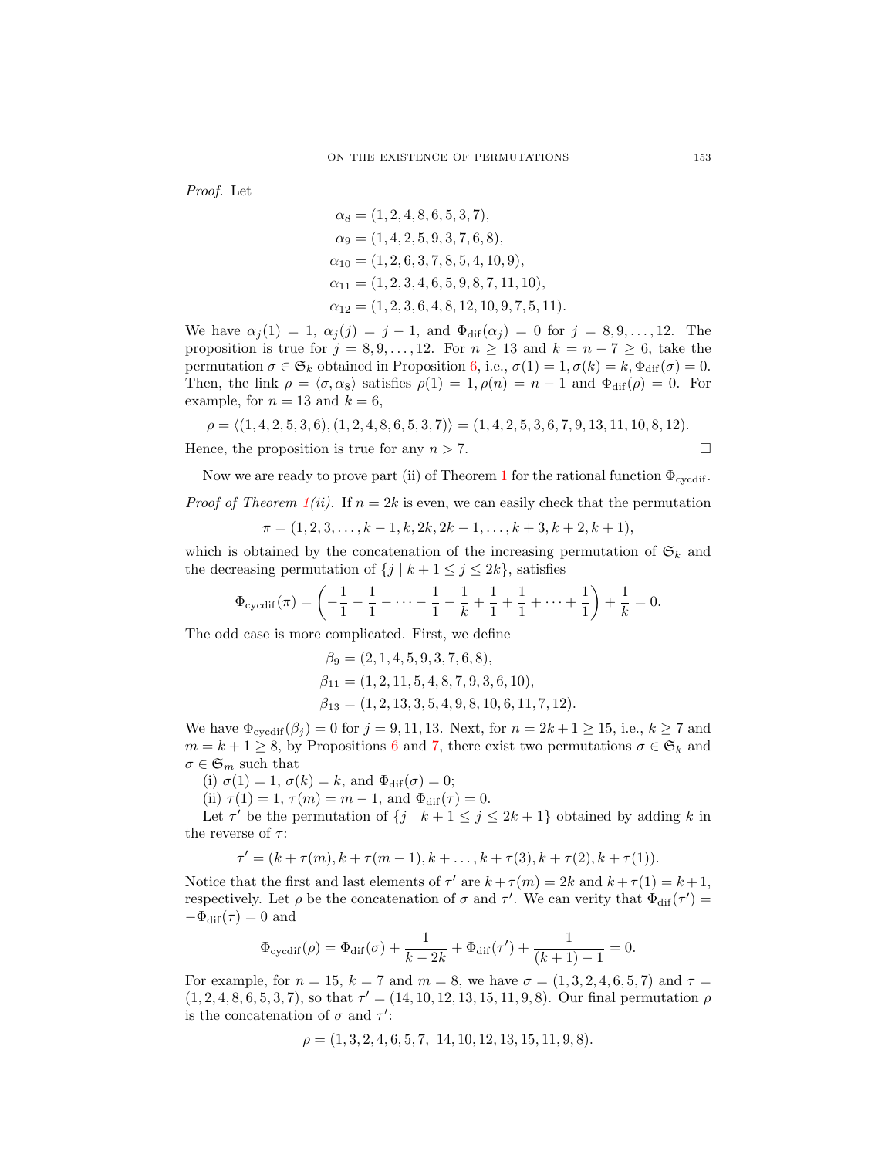Proof. Let

$$
\alpha_8 = (1, 2, 4, 8, 6, 5, 3, 7),
$$
  
\n
$$
\alpha_9 = (1, 4, 2, 5, 9, 3, 7, 6, 8),
$$
  
\n
$$
\alpha_{10} = (1, 2, 6, 3, 7, 8, 5, 4, 10, 9),
$$
  
\n
$$
\alpha_{11} = (1, 2, 3, 4, 6, 5, 9, 8, 7, 11, 10),
$$
  
\n
$$
\alpha_{12} = (1, 2, 3, 6, 4, 8, 12, 10, 9, 7, 5, 11).
$$

We have  $\alpha_j(1) = 1, \ \alpha_j(j) = j - 1, \text{ and } \Phi_{\text{dif}}(\alpha_j) = 0 \text{ for } j = 8, 9, \ldots, 12.$  The proposition is true for  $j = 8, 9, ..., 12$ . For  $n \ge 13$  and  $k = n - 7 \ge 6$ , take the permutation  $\sigma \in \mathfrak{S}_k$  obtained in Proposition [6,](#page-3-0) i.e.,  $\sigma(1) = 1, \sigma(k) = k, \Phi_{\text{dif}}(\sigma) = 0.$ Then, the link  $\rho = \langle \sigma, \alpha_8 \rangle$  satisfies  $\rho(1) = 1, \rho(n) = n - 1$  and  $\Phi_{\text{dif}}(\rho) = 0$ . For example, for  $n = 13$  and  $k = 6$ ,

$$
\rho = \langle (1,4,2,5,3,6), (1,2,4,8,6,5,3,7) \rangle = (1,4,2,5,3,6,7,9,13,11,10,8,12).
$$

Hence, the proposition is true for any  $n > 7$ .

Now we are ready to prove part (ii) of Theorem [1](#page-0-2) for the rational function  $\Phi_{\text{cycdif}}$ .

*Proof of Theorem [1\(](#page-0-2)ii).* If  $n = 2k$  is even, we can easily check that the permutation

$$
\pi = (1, 2, 3, \dots, k - 1, k, 2k, 2k - 1, \dots, k + 3, k + 2, k + 1),
$$

which is obtained by the concatenation of the increasing permutation of  $\mathfrak{S}_k$  and the decreasing permutation of  $\{j \mid k+1 \leq j \leq 2k\}$ , satisfies

$$
\Phi_{\text{cycdif}}(\pi) = \left(-\frac{1}{1} - \frac{1}{1} - \dots - \frac{1}{1} - \frac{1}{k} + \frac{1}{1} + \frac{1}{1} + \dots + \frac{1}{1}\right) + \frac{1}{k} = 0.
$$

The odd case is more complicated. First, we define

$$
\beta_9 = (2, 1, 4, 5, 9, 3, 7, 6, 8), \n\beta_{11} = (1, 2, 11, 5, 4, 8, 7, 9, 3, 6, 10), \n\beta_{13} = (1, 2, 13, 3, 5, 4, 9, 8, 10, 6, 11, 7, 12).
$$

We have  $\Phi_{\text{cyclif}}(\beta_j) = 0$  for  $j = 9, 11, 13$ . Next, for  $n = 2k + 1 \ge 15$ , i.e.,  $k \ge 7$  and  $m = k + 1 \geq 8$ , by Propositions [6](#page-3-0) and [7,](#page-3-1) there exist two permutations  $\sigma \in \mathfrak{S}_k$  and  $\sigma \in \mathfrak{S}_m$  such that

(i)  $\sigma(1) = 1$ ,  $\sigma(k) = k$ , and  $\Phi_{\text{dif}}(\sigma) = 0$ ;

(ii)  $\tau(1) = 1, \tau(m) = m - 1$ , and  $\Phi_{\text{dif}}(\tau) = 0$ .

Let  $\tau'$  be the permutation of  $\{j \mid k+1 \leq j \leq 2k+1\}$  obtained by adding k in the reverse of  $\tau$ :

$$
\tau' = (k + \tau(m), k + \tau(m-1), k + \dots, k + \tau(3), k + \tau(2), k + \tau(1)).
$$

Notice that the first and last elements of  $\tau'$  are  $k + \tau(m) = 2k$  and  $k + \tau(1) = k + 1$ , respectively. Let  $\rho$  be the concatenation of  $\sigma$  and  $\tau'$ . We can verity that  $\Phi_{\text{dif}}(\tau') =$  $-\Phi_{\text{dif}}(\tau) = 0$  and

$$
\Phi_{\text{cycdif}}(\rho) = \Phi_{\text{dif}}(\sigma) + \frac{1}{k - 2k} + \Phi_{\text{dif}}(\tau') + \frac{1}{(k+1) - 1} = 0.
$$

For example, for  $n = 15$ ,  $k = 7$  and  $m = 8$ , we have  $\sigma = (1, 3, 2, 4, 6, 5, 7)$  and  $\tau =$  $(1, 2, 4, 8, 6, 5, 3, 7)$ , so that  $\tau' = (14, 10, 12, 13, 15, 11, 9, 8)$ . Our final permutation  $\rho$ is the concatenation of  $\sigma$  and  $\tau'$ :

$$
\rho = (1, 3, 2, 4, 6, 5, 7, 14, 10, 12, 13, 15, 11, 9, 8).
$$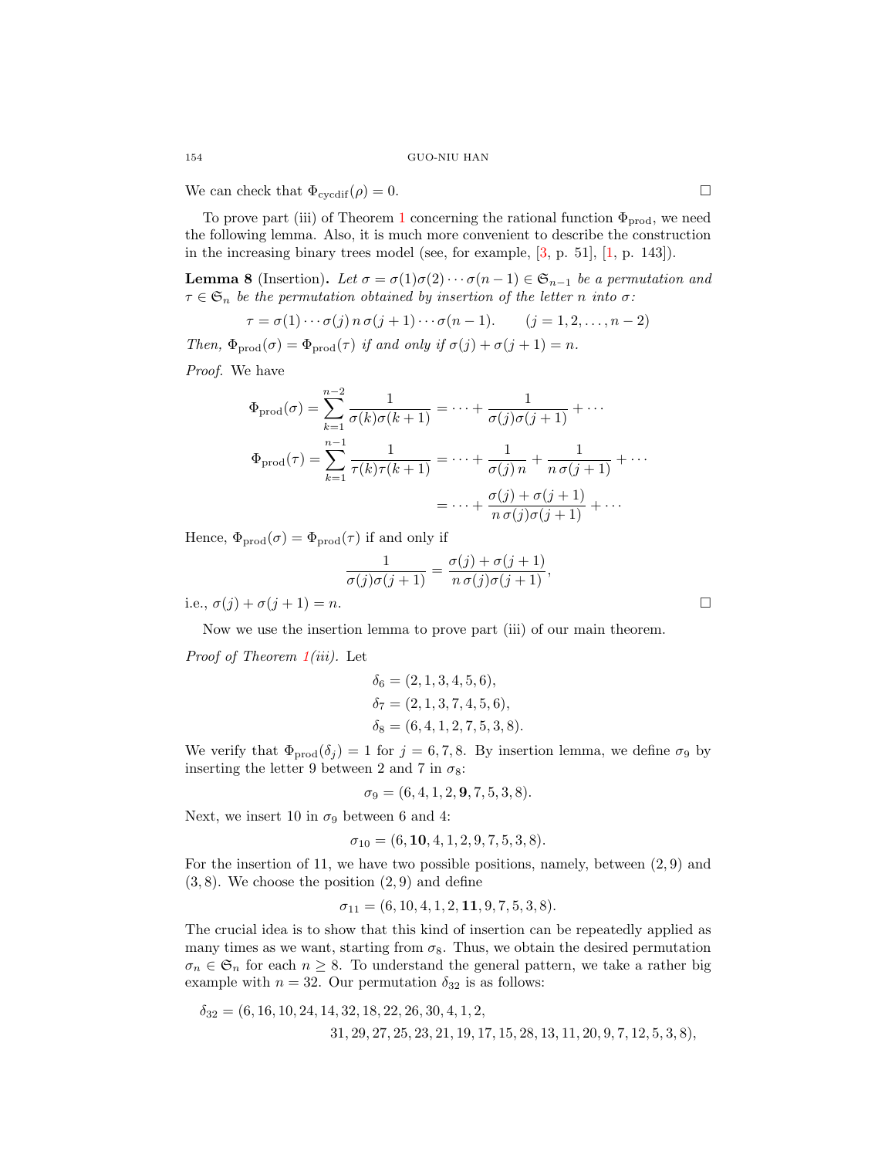We can check that  $\Phi_{\text{cycdif}}(\rho) = 0$ .

To prove part (iii) of Theorem [1](#page-0-2) concerning the rational function  $\Phi_{\text{prod}}$ , we need the following lemma. Also, it is much more convenient to describe the construction in the increasing binary trees model (see, for example,  $[3, p. 51]$  $[3, p. 51]$ ,  $[1, p. 143]$  $[1, p. 143]$ ).

**Lemma 8** (Insertion). Let  $\sigma = \sigma(1)\sigma(2)\cdots \sigma(n-1) \in \mathfrak{S}_{n-1}$  be a permutation and  $\tau \in \mathfrak{S}_n$  be the permutation obtained by insertion of the letter n into  $\sigma$ :

$$
\tau = \sigma(1) \cdots \sigma(j) \, n \, \sigma(j+1) \cdots \sigma(n-1). \qquad (j = 1, 2, \ldots, n-2)
$$

Then,  $\Phi_{\text{prod}}(\sigma) = \Phi_{\text{prod}}(\tau)$  if and only if  $\sigma(j) + \sigma(j+1) = n$ .

Proof. We have

$$
\Phi_{\text{prod}}(\sigma) = \sum_{k=1}^{n-2} \frac{1}{\sigma(k)\sigma(k+1)} = \dots + \frac{1}{\sigma(j)\sigma(j+1)} + \dots
$$

$$
\Phi_{\text{prod}}(\tau) = \sum_{k=1}^{n-1} \frac{1}{\tau(k)\tau(k+1)} = \dots + \frac{1}{\sigma(j)n} + \frac{1}{n\sigma(j+1)} + \dots
$$

$$
= \dots + \frac{\sigma(j) + \sigma(j+1)}{n\sigma(j)\sigma(j+1)} + \dots
$$

Hence,  $\Phi_{\text{prod}}(\sigma) = \Phi_{\text{prod}}(\tau)$  if and only if

$$
\frac{1}{\sigma(j)\sigma(j+1)} = \frac{\sigma(j) + \sigma(j+1)}{n \sigma(j)\sigma(j+1)},
$$

i.e.,  $\sigma(j) + \sigma(j+1) = n$ .

Now we use the insertion lemma to prove part (iii) of our main theorem.

*Proof of Theorem*  $1(iii)$  $1(iii)$ *.* Let

$$
\delta_6 = (2, 1, 3, 4, 5, 6), \n\delta_7 = (2, 1, 3, 7, 4, 5, 6), \n\delta_8 = (6, 4, 1, 2, 7, 5, 3, 8).
$$

We verify that  $\Phi_{\text{prod}}(\delta_j) = 1$  for  $j = 6, 7, 8$ . By insertion lemma, we define  $\sigma_9$  by inserting the letter 9 between 2 and 7 in  $\sigma_8$ :

$$
\sigma_9 = (6, 4, 1, 2, \mathbf{9}, 7, 5, 3, 8).
$$

Next, we insert 10 in  $\sigma_9$  between 6 and 4:

$$
\sigma_{10} = (6, \textbf{10}, 4, 1, 2, 9, 7, 5, 3, 8).
$$

For the insertion of 11, we have two possible positions, namely, between  $(2, 9)$  and  $(3, 8)$ . We choose the position  $(2, 9)$  and define

$$
\sigma_{11} = (6, 10, 4, 1, 2, \mathbf{11}, 9, 7, 5, 3, 8).
$$

The crucial idea is to show that this kind of insertion can be repeatedly applied as many times as we want, starting from  $\sigma_8$ . Thus, we obtain the desired permutation  $\sigma_n \in \mathfrak{S}_n$  for each  $n \geq 8$ . To understand the general pattern, we take a rather big example with  $n = 32$ . Our permutation  $\delta_{32}$  is as follows:

$$
\delta_{32} = (6, 16, 10, 24, 14, 32, 18, 22, 26, 30, 4, 1, 2, 31, 29, 27, 25, 23, 21, 19, 17, 15, 28, 13, 11, 20, 9, 7, 12, 5, 3, 8),
$$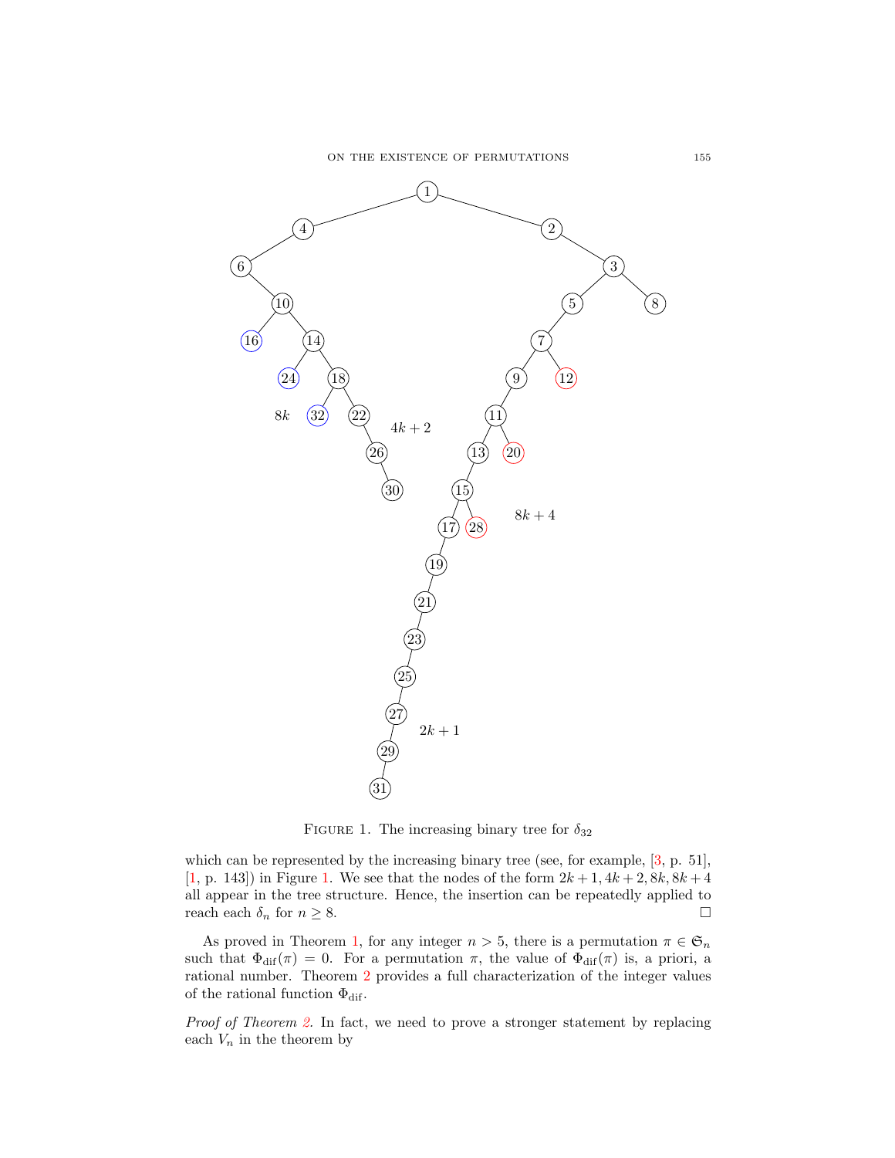

<span id="page-6-0"></span>FIGURE 1. The increasing binary tree for  $\delta_{32}$ 

which can be represented by the increasing binary tree (see, for example,  $[3, p. 51]$  $[3, p. 51]$ , [\[1,](#page-7-0) p. 143]) in Figure [1.](#page-6-0) We see that the nodes of the form  $2k + 1$ ,  $4k + 2$ ,  $8k$ ,  $8k + 4$ all appear in the tree structure. Hence, the insertion can be repeatedly applied to reach each  $\delta_n$  for  $n \geq 8$ .

As proved in Theorem [1,](#page-0-2) for any integer  $n > 5$ , there is a permutation  $\pi \in \mathfrak{S}_n$ such that  $\Phi_{\text{dif}}(\pi) = 0$ . For a permutation  $\pi$ , the value of  $\Phi_{\text{dif}}(\pi)$  is, a priori, a rational number. Theorem [2](#page-1-0) provides a full characterization of the integer values of the rational function  $\Phi_{\text{dif}}$ .

Proof of Theorem [2.](#page-1-0) In fact, we need to prove a stronger statement by replacing each  $V_n$  in the theorem by